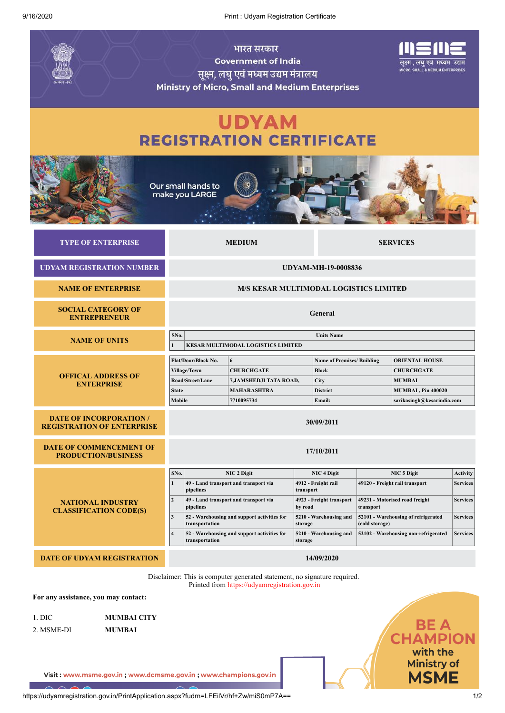|                                                                     | <b>Government of India</b><br>सूक्ष्म, लघु एवं मध्यम उद्यम मंत्रालय<br><b>Ministry of Micro, Small and Medium Enterprises</b>                                                                                                                                                                                     |                                                                          | नक्ष्म , लघ एव  मध्यम<br><b>MICRO, SMALL &amp; MEDIUM ENTERPRISES</b>                                                                                                   |                 |                                                                                                                                                                                                      |                                                                                                                 |                                                                                             |  |
|---------------------------------------------------------------------|-------------------------------------------------------------------------------------------------------------------------------------------------------------------------------------------------------------------------------------------------------------------------------------------------------------------|--------------------------------------------------------------------------|-------------------------------------------------------------------------------------------------------------------------------------------------------------------------|-----------------|------------------------------------------------------------------------------------------------------------------------------------------------------------------------------------------------------|-----------------------------------------------------------------------------------------------------------------|---------------------------------------------------------------------------------------------|--|
| <b>UDYAM</b><br><b>REGISTRATION CERTIFICATE</b>                     |                                                                                                                                                                                                                                                                                                                   |                                                                          |                                                                                                                                                                         |                 |                                                                                                                                                                                                      |                                                                                                                 |                                                                                             |  |
|                                                                     | Our small hands to<br>make you LARGE                                                                                                                                                                                                                                                                              |                                                                          |                                                                                                                                                                         |                 |                                                                                                                                                                                                      |                                                                                                                 |                                                                                             |  |
| <b>TYPE OF ENTERPRISE</b>                                           | <b>MEDIUM</b>                                                                                                                                                                                                                                                                                                     |                                                                          |                                                                                                                                                                         | <b>SERVICES</b> |                                                                                                                                                                                                      |                                                                                                                 |                                                                                             |  |
| <b>UDYAM REGISTRATION NUMBER</b>                                    | <b>UDYAM-MH-19-0008836</b>                                                                                                                                                                                                                                                                                        |                                                                          |                                                                                                                                                                         |                 |                                                                                                                                                                                                      |                                                                                                                 |                                                                                             |  |
| <b>NAME OF ENTERPRISE</b>                                           | <b>M/S KESAR MULTIMODAL LOGISTICS LIMITED</b>                                                                                                                                                                                                                                                                     |                                                                          |                                                                                                                                                                         |                 |                                                                                                                                                                                                      |                                                                                                                 |                                                                                             |  |
| <b>SOCIAL CATEGORY OF</b><br><b>ENTREPRENEUR</b>                    | General                                                                                                                                                                                                                                                                                                           |                                                                          |                                                                                                                                                                         |                 |                                                                                                                                                                                                      |                                                                                                                 |                                                                                             |  |
| <b>NAME OF UNITS</b>                                                | SNo.<br><b>Units Name</b><br><b>KESAR MULTIMODAL LOGISTICS LIMITED</b>                                                                                                                                                                                                                                            |                                                                          |                                                                                                                                                                         |                 |                                                                                                                                                                                                      |                                                                                                                 |                                                                                             |  |
| <b>OFFICAL ADDRESS OF</b><br><b>ENTERPRISE</b>                      | Flat/Door/Block No.<br>6<br>Village/Town<br><b>CHURCHGATE</b><br>Road/Street/Lane<br>7, JAMSHEDJI TATA ROAD,<br><b>State</b><br><b>MAHARASHTRA</b><br>Mobile<br>7710095734                                                                                                                                        |                                                                          | <b>Name of Premises/ Building</b><br><b>Block</b><br>City<br><b>District</b><br>Email:                                                                                  |                 |                                                                                                                                                                                                      | <b>ORIENTAL HOUSE</b><br><b>CHURCHGATE</b><br><b>MUMBAI</b><br>MUMBAI, Pin 400020<br>sarikasingh@kesarindia.com |                                                                                             |  |
| <b>DATE OF INCORPORATION /</b><br><b>REGISTRATION OF ENTERPRISE</b> | 30/09/2011                                                                                                                                                                                                                                                                                                        |                                                                          |                                                                                                                                                                         |                 |                                                                                                                                                                                                      |                                                                                                                 |                                                                                             |  |
| <b>DATE OF COMMENCEMENT OF</b><br><b>PRODUCTION/BUSINESS</b>        | 17/10/2011                                                                                                                                                                                                                                                                                                        |                                                                          |                                                                                                                                                                         |                 |                                                                                                                                                                                                      |                                                                                                                 |                                                                                             |  |
| <b>NATIONAL INDUSTRY</b><br><b>CLASSIFICATION CODE(S)</b>           | NIC 2 Digit<br>SNo.<br>49 - Land transport and transport via<br>pipelines<br>$\mathbf{2}$<br>49 - Land transport and transport via<br>pipelines<br>$\overline{\mathbf{3}}$<br>52 - Warehousing and support activities for<br>transportation<br>4<br>52 - Warehousing and support activities for<br>transportation |                                                                          | <b>NIC 4 Digit</b><br>4912 - Freight rail<br>transport<br>4923 - Freight transport<br>by road<br>5210 - Warehousing and<br>storage<br>5210 - Warehousing and<br>storage |                 | <b>NIC 5 Digit</b><br>49120 - Freight rail transport<br>49231 - Motorised road freight<br>transport<br>52101 - Warehousing of refrigerated<br>(cold storage)<br>52102 - Warehousing non-refrigerated |                                                                                                                 | <b>Activity</b><br><b>Services</b><br><b>Services</b><br><b>Services</b><br><b>Services</b> |  |
| <b>DATE OF UDYAM REGISTRATION</b><br>14/09/2020                     |                                                                                                                                                                                                                                                                                                                   |                                                                          |                                                                                                                                                                         |                 |                                                                                                                                                                                                      |                                                                                                                 |                                                                                             |  |
|                                                                     |                                                                                                                                                                                                                                                                                                                   | Disclaimer: This is computer generated statement, no signature required. |                                                                                                                                                                         |                 |                                                                                                                                                                                                      |                                                                                                                 |                                                                                             |  |

Printed from https://udyamregistration.gov.in

**For any assistance, you may contact:**

| -1. DIC-         | <b>MUMBAI CITY</b>       |
|------------------|--------------------------|
| $2.3525$ $-7.75$ | - <i>-</i> - - - - - - - |

2. MSME-DI **MUMBAI**

Visit: www.msme.gov.in; www.dcmsme.gov.in; www.champions.gov.in